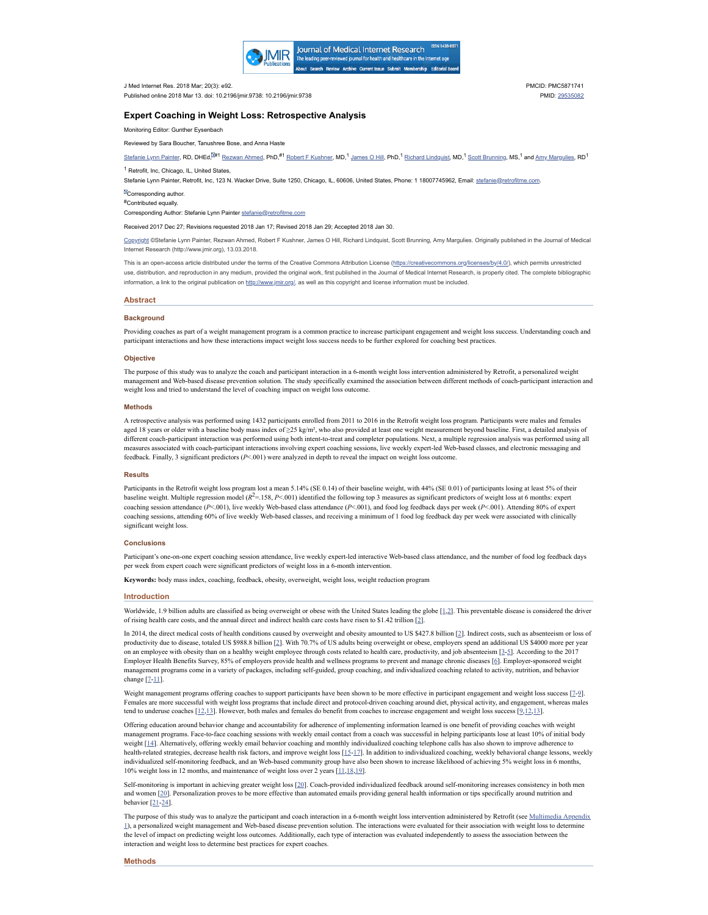

J Med Internet Res. 2018 Mar; 20(3): e92. Published online 2018 Mar 13. doi: 10.2196/jmir.9738: 10.2196/jmir.9738 PMCID: PMC5871741 PMID: [29535082](https://www.ncbi.nlm.nih.gov/pubmed/29535082)

# **Expert Coaching in Weight Loss: Retrospective Analysis**

Monitoring Editor: Gunther Eysenbach

Reviewed by Sara Boucher, Tanushree Bose, and Anna Haste

[Stefanie](https://www.ncbi.nlm.nih.gov/pubmed/?term=Painter%20SL%5BAuthor%5D&cauthor=true&cauthor_uid=29535082) Lynn Painter, RD, DHEd,<sup>00#1</sup> [Rezwan](https://www.ncbi.nlm.nih.gov/pubmed/?term=Ahmed%20R%5BAuthor%5D&cauthor=true&cauthor_uid=29535082) Ahmed, PhD,<sup>#1</sup> Robert F [Kushner,](https://www.ncbi.nlm.nih.gov/pubmed/?term=Kushner%20RF%5BAuthor%5D&cauthor=true&cauthor_uid=29535082) MD,<sup>1</sup> [James](https://www.ncbi.nlm.nih.gov/pubmed/?term=Hill%20JO%5BAuthor%5D&cauthor=true&cauthor_uid=29535082) O Hill, PhD,<sup>1</sup> Richard [Lindquist,](https://www.ncbi.nlm.nih.gov/pubmed/?term=Lindquist%20R%5BAuthor%5D&cauthor=true&cauthor_uid=29535082) MD,<sup>1</sup> Scott [Brunning,](https://www.ncbi.nlm.nih.gov/pubmed/?term=Brunning%20S%5BAuthor%5D&cauthor=true&cauthor_uid=29535082) MS,<sup>1</sup> and <u>Amy Margulies</u>, RD<sup>1</sup>

<sup>1</sup> Retrofit, Inc, Chicago, IL, United States,

Stefanie Lynn Painter, Retrofit, Inc, 123 N. Wacker Drive, Suite 1250, Chicago, IL, 60606, United States, Phone: 1 18007745962, Email: [stefanie@retrofitme.com.](mailto:dev@null)

**ECorresponding author.** 

Contributed equally. #

Corresponding Author: Stefanie Lynn Painter [stefanie@retrofitme.com](mailto:dev@null)

Received 2017 Dec 27; Revisions requested 2018 Jan 17; Revised 2018 Jan 29; Accepted 2018 Jan 30.

[Copyright](https://www.ncbi.nlm.nih.gov/pmc/about/copyright/) ©Stefanie Lynn Painter, Rezwan Ahmed, Robert F Kushner, James O Hill, Richard Lindquist, Scott Brunning, Amy Margulies. Originally published in the Journal of Medical Internet Research (http://www.jmir.org), 13.03.2018.

This is an open-access article distributed under the terms of the Creative Commons Attribution License [\(https://creativecommons.org/licenses/by/4.0/\)](https://creativecommons.org/licenses/by/4.0/), which permits unrestricted use, distribution, and reproduction in any medium, provided the original work, first published in the Journal of Medical Internet Research, is properly cited. The complete bibliographic information, a link to the original publication on <http://www.jmir.org/,> as well as this copyright and license information must be included.

# **Abstract**

### **Background**

Providing coaches as part of a weight management program is a common practice to increase participant engagement and weight loss success. Understanding coach and participant interactions and how these interactions impact weight loss success needs to be further explored for coaching best practices.

#### **Objective**

The purpose of this study was to analyze the coach and participant interaction in a 6-month weight loss intervention administered by Retrofit, a personalized weight management and Web-based disease prevention solution. The study specifically examined the association between different methods of coach-participant interaction and weight loss and tried to understand the level of coaching impact on weight loss outcome.

#### **Methods**

A retrospective analysis was performed using 1432 participants enrolled from 2011 to 2016 in the Retrofit weight loss program. Participants were males and females aged 18 years or older with a baseline body mass index of ≥25 kg/m², who also provided at least one weight measurement beyond baseline. First, a detailed analysis of different coach-participant interaction was performed using both intent-to-treat and completer populations. Next, a multiple regression analysis was performed using all measures associated with coach-participant interactions involving expert coaching sessions, live weekly expert-led Web-based classes, and electronic messaging and feedback. Finally, 3 significant predictors (*P*<.001) were analyzed in depth to reveal the impact on weight loss outcome.

### **Results**

Participants in the Retrofit weight loss program lost a mean 5.14% (SE 0.14) of their baseline weight, with 44% (SE 0.01) of participants losing at least 5% of their baseline weight. Multiple regression model  $(R^2=158, P<.001)$  identified the following top 3 measures as significant predictors of weight loss at 6 months: expert coaching session attendance ( $P < 001$ ), live weekly Web-based class attendance ( $P < 001$ ), and food log feedback days per week ( $P < 001$ ). Attending 80% of expert coaching sessions, attending 60% of live weekly Web-based classes, and receiving a minimum of 1 food log feedback day per week were associated with clinically significant weight loss.

## **Conclusions**

Participant's one-on-one expert coaching session attendance, live weekly expert-led interactive Web-based class attendance, and the number of food log feedback days per week from expert coach were significant predictors of weight loss in a 6-month intervention.

**Keywords:** body mass index, coaching, feedback, obesity, overweight, weight loss, weight reduction program

### **Introduction**

Worldwide, 1.9 billion adults are classified as being overweight or obese with the United States leading the globe [[1,](#page-3-0)[2](#page-3-1)]. This preventable disease is considered the driver of rising health care costs, and the annual direct and indirect health care costs have risen to \$1.42 trillion [\[2](#page-3-1)].

In 2014, the direct medical costs of health conditions caused by overweight and obesity amounted to US \$427.8 billion [\[2](#page-3-1)]. Indirect costs, such as absenteeism or loss of productivity due to disease, totaled US \$988.8 billion [[2\]](#page-3-1). With 70.7% of US adults being overweight or obese, employers spend an additional US \$4000 more per year on an employee with obesity than on a healthy weight employee through costs related to health care, productivity, and job absenteeism [[3-](#page-3-2)[5\]](#page-3-3). According to the 2017 Employer Health Benefits Survey, 85% of employers provide health and wellness programs to prevent and manage chronic diseases [[6](#page-3-4)]. Employer-sponsored weight management programs come in a variety of packages, including self-guided, group coaching, and individualized coaching related to activity, nutrition, and behavior change [[7-](#page-3-5)[11](#page-4-0)].

Weight management programs offering coaches to support participants have been shown to be more effective in participant engagement and weight loss success [[7-](#page-3-5)[9\]](#page-3-6). Females are more successful with weight loss programs that include direct and protocol-driven coaching around diet, physical activity, and engagement, whereas males tend to underuse coaches  $[12,13]$  $[12,13]$  $[12,13]$  $[12,13]$ . However, both males and females do benefit from coaches to increase engagement and weight loss success [\[9](#page-3-6),12,13]

Offering education around behavior change and accountability for adherence of implementing information learned is one benefit of providing coaches with weight management programs. Face-to-face coaching sessions with weekly email contact from a coach was successful in helping participants lose at least 10% of initial body weight [\[14](#page-4-3)]. Alternatively, offering weekly email behavior coaching and monthly individualized coaching telephone calls has also shown to improve adherence to health-related strategies, decrease health risk factors, and improve weight loss [[15-](#page-4-4)[17\]](#page-4-5). In addition to individualized coaching, weekly behavioral change lessons, weekly individualized self-monitoring feedback, and an Web-based community group have also been shown to increase likelihood of achieving 5% weight loss in 6 months, 10% weight loss in 12 months, and maintenance of weight loss over 2 years [[11](#page-4-0),[18](#page-4-6)[,19](#page-4-7)].

Self-monitoring is important in achieving greater weight loss [\[20](#page-4-8)]. Coach-provided individualized feedback around self-monitoring increases consistency in both men and women [\[20](#page-4-8)]. Personalization proves to be more effective than automated emails providing general health information or tips specifically around nutrition and behavior [[21-](#page-4-9)[24\]](#page-4-10).

The purpose of this study was to analyze the participant and coach interaction in a 6-month weight loss intervention [administered](#page-3-7) by Retrofit (see Multimedia Appendix 1), a personalized weight management and Web-based disease prevention solution. The interactions were evaluated for their association with weight loss to determine the level of impact on predicting weight loss outcomes. Additionally, each type of interaction was evaluated independently to assess the association between the interaction and weight loss to determine best practices for expert coaches.

#### **Methods**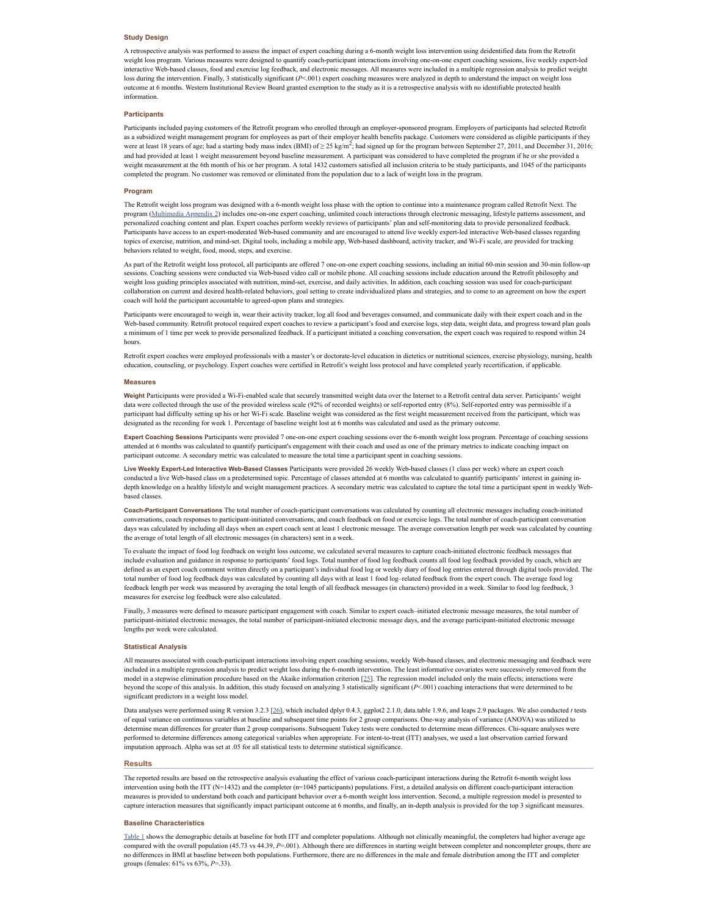# **Study Design**

A retrospective analysis was performed to assess the impact of expert coaching during a 6-month weight loss intervention using deidentified data from the Retrofit weight loss program. Various measures were designed to quantify coach-participant interactions involving one-on-one expert coaching sessions, live weekly expert-led interactive Web-based classes, food and exercise log feedback, and electronic messages. All measures were included in a multiple regression analysis to predict weight loss during the intervention. Finally, 3 statistically significant (*P*<.001) expert coaching measures were analyzed in depth to understand the impact on weight loss outcome at 6 months. Western Institutional Review Board granted exemption to the study as it is a retrospective analysis with no identifiable protected health information.

# **Participants**

Participants included paying customers of the Retrofit program who enrolled through an employer-sponsored program. Employers of participants had selected Retrofit as a subsidized weight management program for employees as part of their employer health benefits package. Customers were considered as eligible participants if they were at least 18 years of age; had a starting body mass index (BMI) of  $\geq$  25 kg/m<sup>2</sup>; had signed up for the program between September 27, 2011, and December 31, 2016; and had provided at least 1 weight measurement beyond baseline measurement. A participant was considered to have completed the program if he or she provided a weight measurement at the 6th month of his or her program. A total 1432 customers satisfied all inclusion criteria to be study participants, and 1045 of the participants completed the program. No customer was removed or eliminated from the population due to a lack of weight loss in the program.

### **Program**

The Retrofit weight loss program was designed with a 6-month weight loss phase with the option to continue into a maintenance program called Retrofit Next. The program [\(Multimedia](#page-3-8) Appendix 2) includes one-on-one expert coaching, unlimited coach interactions through electronic messaging, lifestyle patterns assessment, and personalized coaching content and plan. Expert coaches perform weekly reviews of participants' plan and self-monitoring data to provide personalized feedback. Participants have access to an expert-moderated Web-based community and are encouraged to attend live weekly expert-led interactive Web-based classes regarding topics of exercise, nutrition, and mind-set. Digital tools, including a mobile app, Web-based dashboard, activity tracker, and Wi-Fi scale, are provided for tracking behaviors related to weight, food, mood, steps, and exercise.

As part of the Retrofit weight loss protocol, all participants are offered 7 one-on-one expert coaching sessions, including an initial 60-min session and 30-min follow-up sessions. Coaching sessions were conducted via Web-based video call or mobile phone. All coaching sessions include education around the Retrofit philosophy and weight loss guiding principles associated with nutrition, mind-set, exercise, and daily activities. In addition, each coaching session was used for coach-participant collaboration on current and desired health-related behaviors, goal setting to create individualized plans and strategies, and to come to an agreement on how the expert coach will hold the participant accountable to agreed-upon plans and strategies.

Participants were encouraged to weigh in, wear their activity tracker, log all food and beverages consumed, and communicate daily with their expert coach and in the Web-based community. Retrofit protocol required expert coaches to review a participant's food and exercise logs, step data, weight data, and progress toward plan goals a minimum of 1 time per week to provide personalized feedback. If a participant initiated a coaching conversation, the expert coach was required to respond within 24 hours.

Retrofit expert coaches were employed professionals with a master's or doctorate-level education in dietetics or nutritional sciences, exercise physiology, nursing, health education, counseling, or psychology. Expert coaches were certified in Retrofit's weight loss protocol and have completed yearly recertification, if applicable.

#### **Measures**

Weight Participants were provided a Wi-Fi-enabled scale that securely transmitted weight data over the Internet to a Retrofit central data server. Participants' weight data were collected through the use of the provided wireless scale (92% of recorded weights) or self-reported entry (8%). Self-reported entry was permissible if a participant had difficulty setting up his or her Wi-Fi scale. Baseline weight was considered as the first weight measurement received from the participant, which was designated as the recording for week 1. Percentage of baseline weight lost at 6 months was calculated and used as the primary outcome.

**Expert Coaching Sessions** Participants were provided 7 one-on-one expert coaching sessions over the 6-month weight loss program. Percentage of coaching sessions attended at 6 months was calculated to quantify participant's engagement with their coach and used as one of the primary metrics to indicate coaching impact on participant outcome. A secondary metric was calculated to measure the total time a participant spent in coaching sessions.

**Live Weekly Expert-Led Interactive Web-Based Classes** Participants were provided 26 weekly Web-based classes (1 class per week) where an expert coach conducted a live Web-based class on a predetermined topic. Percentage of classes attended at 6 months was calculated to quantify participants' interest in gaining indepth knowledge on a healthy lifestyle and weight management practices. A secondary metric was calculated to capture the total time a participant spent in weekly Webbased classes.

**Coach-Participant Conversations** The total number of coach-participant conversations was calculated by counting all electronic messages including coach-initiated conversations, coach responses to participant-initiated conversations, and coach feedback on food or exercise logs. The total number of coach-participant conversation days was calculated by including all days when an expert coach sent at least 1 electronic message. The average conversation length per week was calculated by counting the average of total length of all electronic messages (in characters) sent in a week.

To evaluate the impact of food log feedback on weight loss outcome, we calculated several measures to capture coach-initiated electronic feedback messages that include evaluation and guidance in response to participants' food logs. Total number of food log feedback counts all food log feedback provided by coach, which are defined as an expert coach comment written directly on a participant's individual food log or weekly diary of food log entries entered through digital tools provided. The total number of food log feedback days was calculated by counting all days with at least 1 food log–related feedback from the expert coach. The average food log feedback length per week was measured by averaging the total length of all feedback messages (in characters) provided in a week. Similar to food log feedback, 3 measures for exercise log feedback were also calculated.

Finally, 3 measures were defined to measure participant engagement with coach. Similar to expert coach–initiated electronic message measures, the total number of participant-initiated electronic messages, the total number of participant-initiated electronic message days, and the average participant-initiated electronic message lengths per week were calculated.

## **Statistical Analysis**

All measures associated with coach-participant interactions involving expert coaching sessions, weekly Web-based classes, and electronic messaging and feedback were included in a multiple regression analysis to predict weight loss during the 6-month intervention. The least informative covariates were successively removed from the model in a stepwise elimination procedure based on the Akaike information criterion [\[25](#page-4-11)]. The regression model included only the main effects; interactions were beyond the scope of this analysis. In addition, this study focused on analyzing 3 statistically significant (*P*<.001) coaching interactions that were determined to be significant predictors in a weight loss model.

Data analyses were performed using R version 3.2.3 [\[26](#page-4-12)], which included dplyr 0.4.3, ggplot2 2.1.0, data.table 1.9.6, and leaps 2.9 packages. We also conducted *t* tests of equal variance on continuous variables at baseline and subsequent time points for 2 group comparisons. One-way analysis of variance (ANOVA) was utilized to determine mean differences for greater than 2 group comparisons. Subsequent Tukey tests were conducted to determine mean differences. Chi-square analyses were performed to determine differences among categorical variables when appropriate. For intent-to-treat (ITT) analyses, we used a last observation carried forward imputation approach. Alpha was set at .05 for all statistical tests to determine statistical significance.

#### **Results**

The reported results are based on the retrospective analysis evaluating the effect of various coach-participant interactions during the Retrofit 6-month weight loss intervention using both the ITT (N=1432) and the completer (n=1045 participants) populations. First, a detailed analysis on different coach-participant interaction measures is provided to understand both coach and participant behavior over a 6-month weight loss intervention. Second, a multiple regression model is presented to capture interaction measures that significantly impact participant outcome at 6 months, and finally, an in-depth analysis is provided for the top 3 signific

### **Baseline Characteristics**

[Table](https://www.ncbi.nlm.nih.gov/pmc/articles/PMC5871741/table/table1/) 1 shows the demographic details at baseline for both ITT and completer populations. Although not clinically meaningful, the completers had higher average age compared with the overall population (45.73 vs 44.39, *P*=.001). Although there are differences in starting weight between completer and noncompleter groups, there are no differences in BMI at baseline between both populations. Furthermore, there are no differences in the male and female distribution among the ITT and completer groups (females: 61% vs 63%, *P*=.33).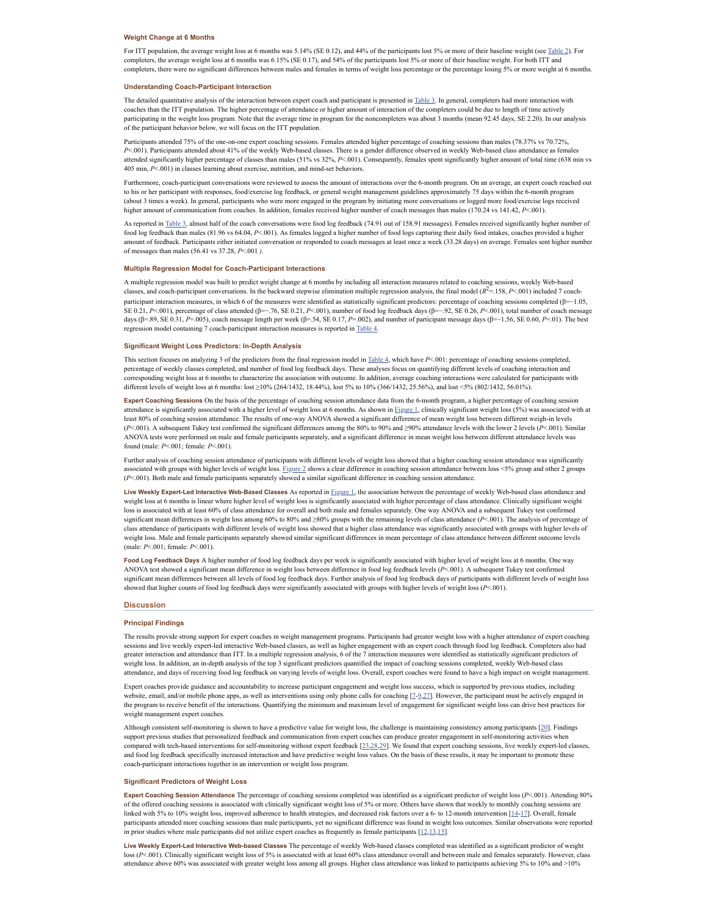### **Weight Change at 6 Months**

For ITT population, the average weight loss at 6 months was 5.14% (SE 0.12), and 44% of the participants lost 5% or more of their baseline weight (see [Table](https://www.ncbi.nlm.nih.gov/pmc/articles/PMC5871741/table/table2/) 2). For completers, the average weight loss at 6 months was 6.15% (SE 0.17), and 54% of the participants lost 5% or more of their baseline weight. For both ITT and completers, there were no significant differences between males and females in terms of weight loss percentage or the percentage losing 5% or more weight at 6 months.

### **Understanding Coach-Participant Interaction**

The detailed quantitative analysis of the interaction between expert coach and participant is presented in [Table](https://www.ncbi.nlm.nih.gov/pmc/articles/PMC5871741/table/table3/) 3. In general, completers had more interaction with coaches than the ITT population. The higher percentage of attendance or higher amount of interaction of the completers could be due to length of time actively participating in the weight loss program. Note that the average time in program for the noncompleters was about 3 months (mean 92.45 days, SE 2.20). In our analysis of the participant behavior below, we will focus on the ITT population.

Participants attended 75% of the one-on-one expert coaching sessions. Females attended higher percentage of coaching sessions than males (78.37% vs 70.72%, *P*<.001). Participants attended about 41% of the weekly Web-based classes. There is a gender difference observed in weekly Web-based class attendance as females attended significantly higher percentage of classes than males (51% vs 32%, *P*<.001). Consequently, females spent significantly higher amount of total time (638 min vs 405 min, *P*<.001) in classes learning about exercise, nutrition, and mind-set behaviors.

Furthermore, coach-participant conversations were reviewed to assess the amount of interactions over the 6-month program. On an average, an expert coach reached out to his or her participant with responses, food/exercise log feedback, or general weight management guidelines approximately 75 days within the 6-month program (about 3 times a week). In general, participants who were more engaged in the program by initiating more conversations or logged more food/exercise logs received higher amount of communication from coaches. In addition, females received higher number of coach messages than males (170.24 vs 141.42, *P*<.001).

As reported in [Table](https://www.ncbi.nlm.nih.gov/pmc/articles/PMC5871741/table/table3/) 3, almost half of the coach conversations were food log feedback (74.91 out of 158.91 messages). Females received significantly higher number of food log feedback than males (81.96 vs 64.04, *P*<.001). As females logged a higher number of food logs capturing their daily food intakes, coaches provided a higher amount of feedback. Participants either initiated conversation or responded to coach messages at least once a week (33.28 days) on average. Females sent higher number of messages than males (56.41 vs 37.28, *P*<.001 *)*.

# **Multiple Regression Model for Coach-Participant Interactions**

A multiple regression model was built to predict weight change at 6 months by including all interaction measures related to coaching sessions, weekly Web-based<br>classes, and coach-participant conversations. In the backward participant interaction measures, in which 6 of the measures were identified as statistically significant predictors: percentage of coaching sessions completed (β=−1.05, SE 0.21, *P*<.001), percentage of class attended (β=−.76, SE 0.21, *P*<.001), number of food log feedback days (β=−.92, SE 0.26, *P*<.001), total number of coach message days (β=.89, SE 0.31, *P*=.005), coach message length per week (β=.54, SE 0.17, *P*=.002), and number of participant message days (β=−1.56, SE 0.60, *P*=.01). The best regression model containing 7 coach-participant interaction measures is reported in [Table](https://www.ncbi.nlm.nih.gov/pmc/articles/PMC5871741/table/table4/) 4.

### **Significant Weight Loss Predictors: In-Depth Analysis**

This section focuses on analyzing 3 of the predictors from the final regression model in [Table](https://www.ncbi.nlm.nih.gov/pmc/articles/PMC5871741/table/table4/) 4, which have *P*<.001: percentage of coaching sessions completed, percentage of weekly classes completed, and number of food log feedback days. These analyses focus on quantifying different levels of coaching interaction and corresponding weight loss at 6 months to characterize the association with outcome. In addition, average coaching interactions were calculated for participants with different levels of weight loss at 6 months: lost ≥10% (264/1432, 18.44%), lost 5% to 10% (366/1432, 25.56%), and lost <5% (802/1432, 56.01%).

**Expert Coaching Sessions** On the basis of the percentage of coaching session attendance data from the 6-month program, a higher percentage of coaching session attendance is significantly associated with a higher level of weight loss at 6 months. As shown in [Figure](https://www.ncbi.nlm.nih.gov/pmc/articles/PMC5871741/figure/figure1/) 1, clinically significant weight loss (5%) was associated with at least 80% of coaching session attendance. The results of one-way ANOVA showed a significant difference of mean weight loss between different weigh-in levels (*P*<.001). A subsequent Tukey test confirmed the significant differences among the 80% to 90% and ≥90% attendance levels with the lower 2 levels (*P*<.001). Similar ANOVA tests were performed on male and female participants separately, and a significant difference in mean weight loss between different attendance levels was found (male: *P*<.001; female: *P*<.001).

Further analysis of coaching session attendance of participants with different levels of weight loss showed that a higher coaching session attendance was significantly associated with groups with higher levels of weight loss. [Figure](https://www.ncbi.nlm.nih.gov/pmc/articles/PMC5871741/figure/figure2/) 2 shows a clear difference in coaching session attendance between loss <5% group and other 2 groups (*P*<.001). Both male and female participants separately showed a similar significant difference in coaching session attendance.

Live Weekly Expert-Led Interactive Web-Based Classes As reported in [Figure](https://www.ncbi.nlm.nih.gov/pmc/articles/PMC5871741/figure/figure1/) 1, the association between the percentage of weekly Web-based class attendance and weight loss at 6 months is linear where higher level of weight loss is significantly associated with higher percentage of class attendance. Clinically significant weight loss is associated with at least 60% of class attendance for overall and both male and females separately. One way ANOVA and a subsequent Tukey test confirmed significant mean differences in weight loss among 60% to 80% and ≥80% groups with the remaining levels of class attendance (*P*<.001). The analysis of percentage of class attendance of participants with different levels of weight loss showed that a higher class attendance was significantly associated with groups with higher levels of weight loss. Male and female participants separately showed similar significant differences in mean percentage of class attendance between different outcome levels (male: *P*<.001; female: *P*<.001).

**Food Log Feedback Days** A higher number of food log feedback days per week is significantly associated with higher level of weight loss at 6 months. One way ANOVA test showed a significant mean difference in weight loss between difference in food log feedback levels (*P*<.001). A subsequent Tukey test confirmed significant mean differences between all levels of food log feedback days. Further analysis of food log feedback days of participants with different levels of weight loss showed that higher counts of food log feedback days were significantly associated with groups with higher levels of weight loss (*P*<.001).

#### **Discussion**

### **Principal Findings**

The results provide strong support for expert coaches in weight management programs. Participants had greater weight loss with a higher attendance of expert coaching sessions and live weekly expert-led interactive Web-based classes, as well as higher engagement with an expert coach through food log feedback. Completers also had greater interaction and attendance than ITT. In a multiple regression analysis, 6 of the 7 interaction measures were identified as statistically significant predictors of weight loss. In addition, an in-depth analysis of the top 3 significant predictors quantified the impact of coaching sessions completed, weekly Web-based class attendance, and days of receiving food log feedback on varying levels of weight loss. Overall, expert coaches were found to have a high impact on weight management.

Expert coaches provide guidance and accountability to increase participant engagement and weight loss success, which is supported by previous studies, including website, email, and/or mobile phone apps, as well as interventions using only phone calls for coaching [[7-](#page-3-5)[9,](#page-3-6)[27](#page-4-13)]. However, the participant must be actively engaged in the program to receive benefit of the interactions. Quantifying the minimum and maximum level of engagement for significant weight loss can drive best practices for weight management expert coaches.

Although consistent self-monitoring is shown to have a predictive value for weight loss, the challenge is maintaining consistency among participants [[20\]](#page-4-8). Findings support previous studies that personalized feedback and communication from expert coaches can produce greater engagement in self-monitoring activities when compared with tech-based interventions for self-monitoring without expert feedback [\[23](#page-4-14),[28,](#page-4-15)[29](#page-4-16)]. We found that expert coaching sessions, live weekly expert-led classes, and food log feedback specifically increased interaction and have predictive weight loss values. On the basis of these results, it may be important to promote these coach-participant interactions together in an intervention or weight loss program.

# **Significant Predictors of Weight Loss**

**Expert Coaching Session Attendance** The percentage of coaching sessions completed was identified as a significant predictor of weight loss (*P*<.001). Attending 80% of the offered coaching sessions is associated with clinically significant weight loss of 5% or more. Others have shown that weekly to monthly coaching sessions are linked with 5% to 10% weight loss, improved adherence to health strategies, and decreased risk factors over a 6- to 12-month intervention [\[14](#page-4-3)[-17](#page-4-5)]. Overall, female participants attended more coaching sessions than male participants, yet no significant difference was found in weight loss outcomes. Similar observations were reported in prior studies where male participants did not utilize expert coaches as frequently as female participants [[12,](#page-4-1)[13](#page-4-2),[15\]](#page-4-4).

Live Weekly Expert-Led Interactive Web-based Classes The percentage of weekly Web-based classes completed was identified as a significant predictor of weight loss (*P*<.001). Clinically significant weight loss of 5% is associated with at least 60% class attendance overall and between male and females separately. However, class attendance above 60% was associated with greater weight loss among all groups. Higher class attendance was linked to participants achieving 5% to 10% and >10%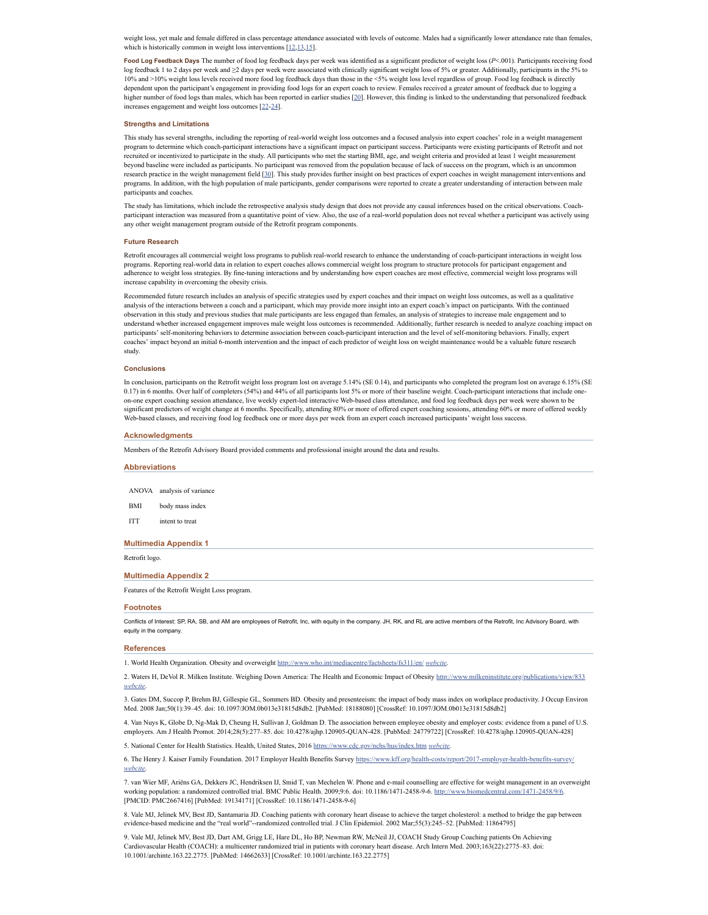weight loss, yet male and female differed in class percentage attendance associated with levels of outcome. Males had a significantly lower attendance rate than females, which is historically common in weight loss interventions  $[12,13,15]$  $[12,13,15]$  $[12,13,15]$  $[12,13,15]$  $[12,13,15]$ .

**Food Log Feedback Days** The number of food log feedback days per week was identified as a significant predictor of weight loss (*P*<.001). Participants receiving food log feedback 1 to 2 days per week and ≥2 days per week were associated with clinically significant weight loss of 5% or greater. Additionally, participants in the 5% to 10% and >10% weight loss levels received more food log feedback days than those in the <5% weight loss level regardless of group. Food log feedback is directly dependent upon the participant's engagement in providing food logs for an expert coach to review. Females received a greater amount of feedback due to logging a higher number of food logs than males, which has been reported in earlier studies [\[20](#page-4-8)]. However, this finding is linked to the understanding that personalized feedback increases engagement and weight loss outcomes [[22](#page-4-17)[-24](#page-4-10)].

### **Strengths and Limitations**

This study has several strengths, including the reporting of real-world weight loss outcomes and a focused analysis into expert coaches' role in a weight management program to determine which coach-participant interactions have a significant impact on participant success. Participants were existing participants of Retrofit and not recruited or incentivized to participate in the study. All participants who met the starting BMI, age, and weight criteria and provided at least 1 weight measurement beyond baseline were included as participants. No participant was removed from the population because of lack of success on the program, which is an uncommon research practice in the weight management field [\[30](#page-4-18)]. This study provides further insight on best practices of expert coaches in weight management interventions and programs. In addition, with the high population of male participants, gender comparisons were reported to create a greater understanding of interaction between male participants and coaches.

The study has limitations, which include the retrospective analysis study design that does not provide any causal inferences based on the critical observations. Coachparticipant interaction was measured from a quantitative point of view. Also, the use of a real-world population does not reveal whether a participant was actively using any other weight management program outside of the Retrofit program components.

#### **Future Research**

Retrofit encourages all commercial weight loss programs to publish real-world research to enhance the understanding of coach-participant interactions in weight loss programs. Reporting real-world data in relation to expert coaches allows commercial weight loss program to structure protocols for participant engagement and adherence to weight loss strategies. By fine-tuning interactions and by understanding how expert coaches are most effective, commercial weight loss programs will increase capability in overcoming the obesity crisis.

Recommended future research includes an analysis of specific strategies used by expert coaches and their impact on weight loss outcomes, as well as a qualitative analysis of the interactions between a coach and a participant, which may provide more insight into an expert coach's impact on participants. With the continued observation in this study and previous studies that male participants are less engaged than females, an analysis of strategies to increase male engagement and to understand whether increased engagement improves male weight loss outcomes is recommended. Additionally, further research is needed to analyze coaching impact on participants' self-monitoring behaviors to determine association between coach-participant interaction and the level of self-monitoring behaviors. Finally, expert coaches' impact beyond an initial 6-month intervention and the impact of each predictor of weight loss on weight maintenance would be a valuable future research study.

#### **Conclusions**

In conclusion, participants on the Retrofit weight loss program lost on average 5.14% (SE 0.14), and participants who completed the program lost on average 6.15% (SE 0.17) in 6 months. Over half of completers (54%) and 44% of all participants lost 5% or more of their baseline weight. Coach-participant interactions that include oneon-one expert coaching session attendance, live weekly expert-led interactive Web-based class attendance, and food log feedback days per week were shown to be significant predictors of weight change at 6 months. Specifically, attending 80% or more of offered expert coaching sessions, attending 60% or more of offered weekly Web-based classes, and receiving food log feedback one or more days per week from an expert coach increased participants' weight loss success.

### **Acknowledgments**

Members of the Retrofit Advisory Board provided comments and professional insight around the data and results.

<span id="page-3-7"></span>

| <b>Abbreviations</b> |                                               |
|----------------------|-----------------------------------------------|
|                      |                                               |
| ANOVA                | analysis of variance                          |
| BMI                  | body mass index                               |
| <b>ITT</b>           | intent to treat                               |
|                      | <b>Multimedia Appendix 1</b>                  |
| Retrofit logo.       |                                               |
|                      | <b>Multimedia Appendix 2</b>                  |
|                      | Features of the Retrofit Weight Loss program. |
| <b>Footnotes</b>     |                                               |
|                      |                                               |

<span id="page-3-8"></span>Conflicts of Interest: SP, RA, SB, and AM are employees of Retrofit, Inc, with equity in the company. JH, RK, and RL are active members of the Retrofit, Inc Advisory Board, with equity in the company.

### **References**

<span id="page-3-0"></span>1. World Health Organization. Obesity and overweight <http://www.who.int/mediacentre/factsheets/fs311/en/> *[webcite](https://www.webcitation.org/6wjWaAWcr)*.

<span id="page-3-1"></span>2. Waters H, DeVol R. Milken Institute. Weighing Down America: The Health and Economic Impact of Obesity <http://www.milkeninstitute.org/publications/view/833> *[webcite](https://www.webcitation.org/6vfARXaLA)*.

<span id="page-3-2"></span>3. Gates DM, Succop P, Brehm BJ, Gillespie GL, Sommers BD. Obesity and presenteeism: the impact of body mass index on workplace productivity. J Occup Environ Med. 2008 Jan;50(1):39–45. doi: 10.1097/JOM.0b013e31815d8db2. [PubMed: 18188080] [CrossRef: 10.1097/JOM.0b013e31815d8db2]

4. Van Nuys K, Globe D, Ng-Mak D, Cheung H, Sullivan J, Goldman D. The association between employee obesity and employer costs: evidence from a panel of U.S. employers. Am JHealth Promot. 2014;28(5):277–85. doi: 10.4278/ajhp.120905-QUAN-428. [PubMed: 24779722] [CrossRef: 10.4278/ajhp.120905-QUAN-428]

<span id="page-3-3"></span>5. National Center for Health Statistics. Health, United States, 2016 <https://www.cdc.gov/nchs/hus/index.htm> *[webcite](https://www.webcitation.org/6vdJUOX2i)*.

<span id="page-3-4"></span>6. The Henry J. Kaiser Family Foundation. 2017 Employer Health Benefits Survey <https://www.kff.org/health-costs/report/2017-employer-health-benefits-survey/> *[webcite](https://www.webcitation.org/6vdJH45vu)*.

<span id="page-3-5"></span>7. van Wier MF, Ariëns GA, Dekkers JC, Hendriksen IJ, Smid T, van Mechelen W. Phone and e-mail counselling are effective for weight management in an overweight working population: a randomized controlled trial. BMC Public Health. 2009;9:6. doi: 10.1186/1471-2458-9-6. <http://www.biomedcentral.com/1471-2458/9/6> [PMCID: PMC2667416] [PubMed: 19134171] [CrossRef: 10.1186/1471-2458-9-6]

8. Vale MJ, Jelinek MV, Best JD, Santamaria JD. Coaching patients with coronary heart disease to achieve the target cholesterol: a method to bridge the gap between evidence-based medicine and the "real world"--randomized controlled trial. J Clin Epidemiol. 2002 Mar;55(3):245–52. [PubMed: 11864795]

<span id="page-3-6"></span>9. Vale MJ, Jelinek MV, Best JD, Dart AM, Grigg LE, Hare DL, Ho BP, Newman RW, McNeil JJ, COACH Study Group Coaching patients On Achieving Cardiovascular Health (COACH): a multicenter randomized trial in patients with coronary heart disease. Arch Intern Med. 2003;163(22):2775–83. doi: 10.1001/archinte.163.22.2775. [PubMed: 14662633] [CrossRef: 10.1001/archinte.163.22.2775]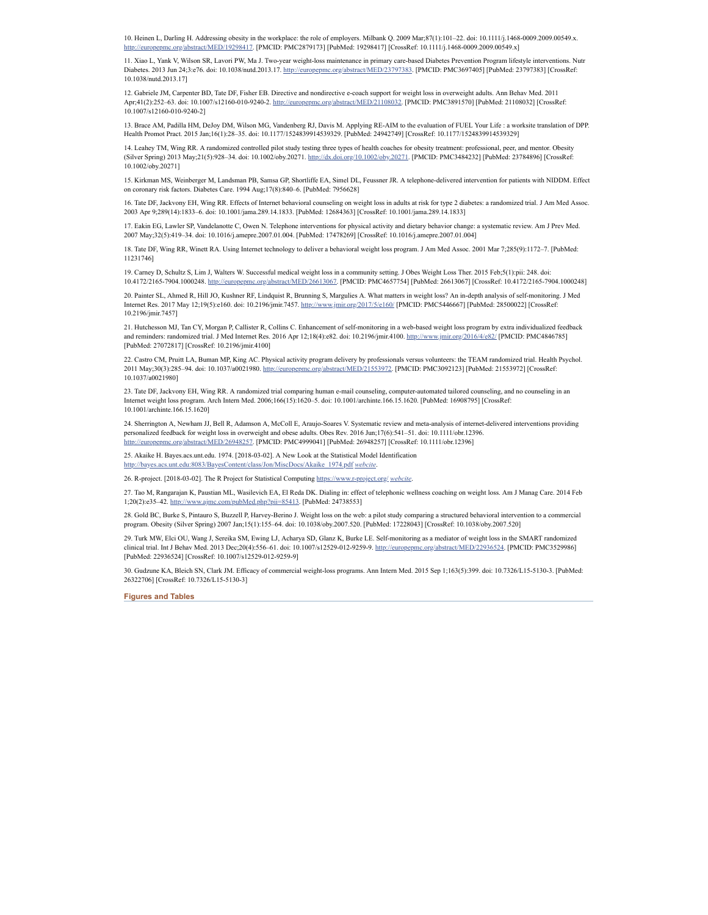10. Heinen L, Darling H. Addressing obesity in the workplace: the role of employers. Milbank Q. 2009 Mar;87(1):101–22. doi: 10.1111/j.1468-0009.2009.00549.x. europepmc.org/abstract/MED/19298417. [PMCID: PMC2879173] [PubMed: 19298417] [CrossRef: 10.1111/j.1468-0009.2009.00549.x]

<span id="page-4-0"></span>11. Xiao L, Yank V, Wilson SR, Lavori PW, Ma J. Two-year weight-loss maintenance in primary care-based Diabetes Prevention Program lifestyle interventions. Nutr Diabetes. 2013 Jun 24;3:e76. doi: 10.1038/nutd.2013.17. <http://europepmc.org/abstract/MED/23797383>. [PMCID: PMC3697405] [PubMed: 23797383] [CrossRef: 10.1038/nutd.2013.17]

<span id="page-4-1"></span>12. Gabriele JM, Carpenter BD, Tate DF, Fisher EB. Directive and nondirective e-coach support for weight loss in overweight adults. Ann Behav Med. 2011 Apr;41(2):252–63. doi: 10.1007/s12160-010-9240-2. <http://europepmc.org/abstract/MED/21108032>. [PMCID: PMC3891570] [PubMed: 21108032] [CrossRef: 10.1007/s12160-010-9240-2]

<span id="page-4-2"></span>13. Brace AM, Padilla HM, DeJoy DM, Wilson MG, Vandenberg RJ, Davis M. Applying RE-AIM to the evaluation of FUEL Your Life : a worksite translation of DPP. Health Promot Pract. 2015 Jan;16(1):28–35. doi: 10.1177/1524839914539329. [PubMed: 24942749] [CrossRef: 10.1177/1524839914539329]

<span id="page-4-3"></span>14. Leahey TM, Wing RR. A randomized controlled pilot study testing three types of health coaches for obesity treatment: professional, peer, and mentor. Obesity (Silver Spring) 2013 May;21(5):928–34. doi: 10.1002/oby.20271. <http://dx.doi.org/10.1002/oby.20271>. [PMCID: PMC3484232] [PubMed: 23784896] [CrossRef: 10.1002/oby.20271]

<span id="page-4-4"></span>15. Kirkman MS, Weinberger M, Landsman PB, Samsa GP, Shortliffe EA, Simel DL, Feussner JR. A telephone-delivered intervention for patients with NIDDM. Effect on coronary risk factors. Diabetes Care. 1994 Aug;17(8):840–6. [PubMed: 7956628]

16. Tate DF, Jackvony EH, Wing RR. Effects of Internet behavioral counseling on weight loss in adults at risk for type 2 diabetes: a randomized trial. J Am Med Assoc. 2003 Apr 9;289(14):1833–6. doi: 10.1001/jama.289.14.1833. [PubMed: 12684363] [CrossRef: 10.1001/jama.289.14.1833]

<span id="page-4-5"></span>17. Eakin EG, Lawler SP, Vandelanotte C, Owen N. Telephone interventions for physical activity and dietary behavior change: a systematic review. Am JPrev Med. 2007 May;32(5):419–34. doi: 10.1016/j.amepre.2007.01.004. [PubMed: 17478269] [CrossRef: 10.1016/j.amepre.2007.01.004]

<span id="page-4-6"></span>18. Tate DF, Wing RR, Winett RA. Using Internet technology to deliver a behavioral weight loss program. J Am Med Assoc. 2001 Mar 7;285(9):1172–7. [PubMed: 11231746]

<span id="page-4-7"></span>19. Carney D, Schultz S, Lim J,Walters W. Successful medical weight loss in a community setting. J Obes Weight Loss Ther. 2015 Feb;5(1):pii: 248. doi: 10.4172/2165-7904.1000248. <http://europepmc.org/abstract/MED/26613067>. [PMCID: PMC4657754] [PubMed: 26613067] [CrossRef: 10.4172/2165-7904.1000248]

<span id="page-4-8"></span>20. Painter SL, Ahmed R, Hill JO, Kushner RF, Lindquist R, Brunning S, Margulies A. What matters in weight loss? An in-depth analysis of self-monitoring. J Med Internet Res. 2017 May 12;19(5):e160. doi: 10.2196/jmir.7457. <http://www.jmir.org/2017/5/e160/> [PMCID: PMC5446667] [PubMed: 28500022] [CrossRef: 10.2196/jmir.7457]

<span id="page-4-9"></span>21. Hutchesson MJ, Tan CY, Morgan P, Callister R, Collins C. Enhancement of self-monitoring in a web-based weight loss program by extra individualized feedback and reminders: randomized trial. J Med Internet Res. 2016 Apr 12;18(4):e82. doi: 10.2196/jmir.4100. <http://www.jmir.org/2016/4/e82/> [PMCID: PMC4846785] [PubMed: 27072817] [CrossRef: 10.2196/jmir.4100]

<span id="page-4-17"></span>22. Castro CM, Pruitt LA, Buman MP, King AC. Physical activity program delivery by professionals versus volunteers: the TEAM randomized trial. Health Psychol. 2011 May;30(3):285–94. doi: 10.1037/a0021980. [http://europepmc.org/abstract/MED/21553972.](http://europepmc.org/abstract/MED/21553972) [PMCID: PMC3092123] [PubMed: 21553972] [CrossRef: 10.1037/a0021980]

<span id="page-4-14"></span>23. Tate DF, Jackvony EH, Wing RR. A randomized trial comparing human e-mail counseling, computer-automated tailored counseling, and no counseling in an Internet weight loss program. Arch Intern Med. 2006;166(15):1620–5. doi: 10.1001/archinte.166.15.1620. [PubMed: 16908795] [CrossRef: 10.1001/archinte.166.15.1620]

<span id="page-4-10"></span>24. Sherrington A, Newham JJ, Bell R, Adamson A, McColl E, Araujo-Soares V. Systematic review and meta-analysis of internet-delivered interventions providing personalized feedback for weight loss in overweight and obese adults. Obes Rev. 2016 Jun;17(6):541–51. doi: 10.1111/obr.12396. [http://europepmc.org/abstract/MED/26948257.](http://europepmc.org/abstract/MED/26948257) [PMCID: PMC4999041] [PubMed: 26948257] [CrossRef: 10.1111/obr.12396]

<span id="page-4-11"></span>25. Akaike H. Bayes.acs.unt.edu. 1974. [2018-03-02]. A New Look at the Statistical Model Identification [http://bayes.acs.unt.edu:8083/BayesContent/class/Jon/MiscDocs/Akaike\\_1974.pdf](http://bayes.acs.unt.edu:8083/BayesContent/class/Jon/MiscDocs/Akaike_1974.pdf) *[webcite](https://www.webcitation.org/6xcAM4IN2)*.

<span id="page-4-12"></span>26. R-project. [2018-03-02]. The R Project for Statistical Computing <https://www.r-project.org/> *[webcite](https://www.webcitation.org/6xbuvj8Jg)*.

<span id="page-4-13"></span>27. Tao M, Rangarajan K, Paustian ML, Wasilevich EA, El Reda DK. Dialing in: effect of telephonic wellness coaching on weight loss. Am JManag Care. 2014 Feb 1;20(2):e35–42. <http://www.ajmc.com/pubMed.php?pii=85413>. [PubMed: 24738553]

<span id="page-4-15"></span>28. Gold BC, Burke S, Pintauro S, Buzzell P, Harvey-Berino J. Weight loss on the web: a pilot study comparing a structured behavioral intervention to a commercial program. Obesity (Silver Spring) 2007 Jan;15(1):155–64. doi: 10.1038/oby.2007.520. [PubMed: 17228043] [CrossRef: 10.1038/oby.2007.520]

<span id="page-4-16"></span>29. Turk MW, Elci OU, Wang J, Sereika SM, Ewing LJ, Acharya SD, Glanz K, Burke LE. Self-monitoring as a mediator of weight loss in the SMART randomized clinical trial. Int J Behav Med. 2013 Dec;20(4):556–61. doi: 10.1007/s12529-012-9259-9. [http://europepmc.org/abstract/MED/22936524.](http://europepmc.org/abstract/MED/22936524) [PMCID: PMC3529986] [PubMed: 22936524] [CrossRef: 10.1007/s12529-012-9259-9]

<span id="page-4-18"></span>30. Gudzune KA, Bleich SN, Clark JM. Efficacy of commercial weight-loss programs. Ann Intern Med. 2015 Sep 1;163(5):399. doi: 10.7326/L15-5130-3. [PubMed: 26322706] [CrossRef: 10.7326/L15-5130-3]

# **Figures and Tables**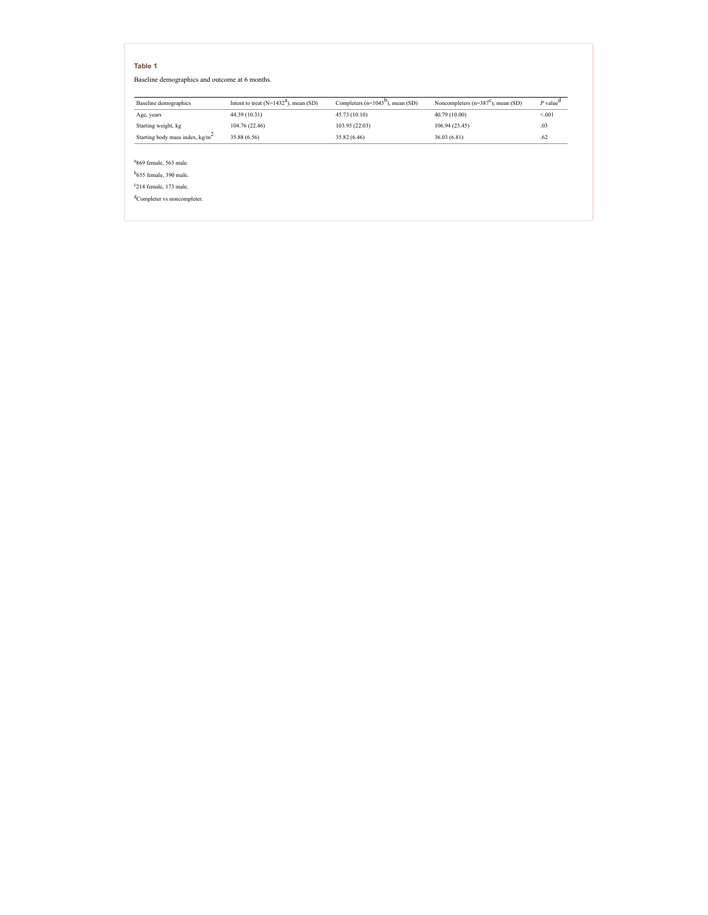Baseline demographics and outcome at 6 months.

| Baseline demographics              | Intent to treat $(N=1432^a)$ , mean (SD) | Completers $(n=1045^{\circ})$ , mean (SD) | Noncompleters $(n=387^{\circ})$ , mean (SD) | $P$ value <sup><math>u</math></sup> |
|------------------------------------|------------------------------------------|-------------------------------------------|---------------------------------------------|-------------------------------------|
| Age, years                         | 44.39 (10.31)                            | 45.73 (10.10)                             | 40.79 (10.00)                               | < 001                               |
| Starting weight, kg                | 104.76 (22.46)                           | 103.95(22.03)                             | 106.94(23.45)                               | .03                                 |
| Starting body mass index, $kg/m^2$ | 35.88 (6.56)                             | 35.82 (6.46)                              | 36.03 (6.81)                                | .62                                 |

<sup>a</sup>869 female, 563 male.

<sup>b</sup>655 female, 390 male.

 $c$ 214 female, 173 male.

<sup>d</sup>Completer vs noncompleter.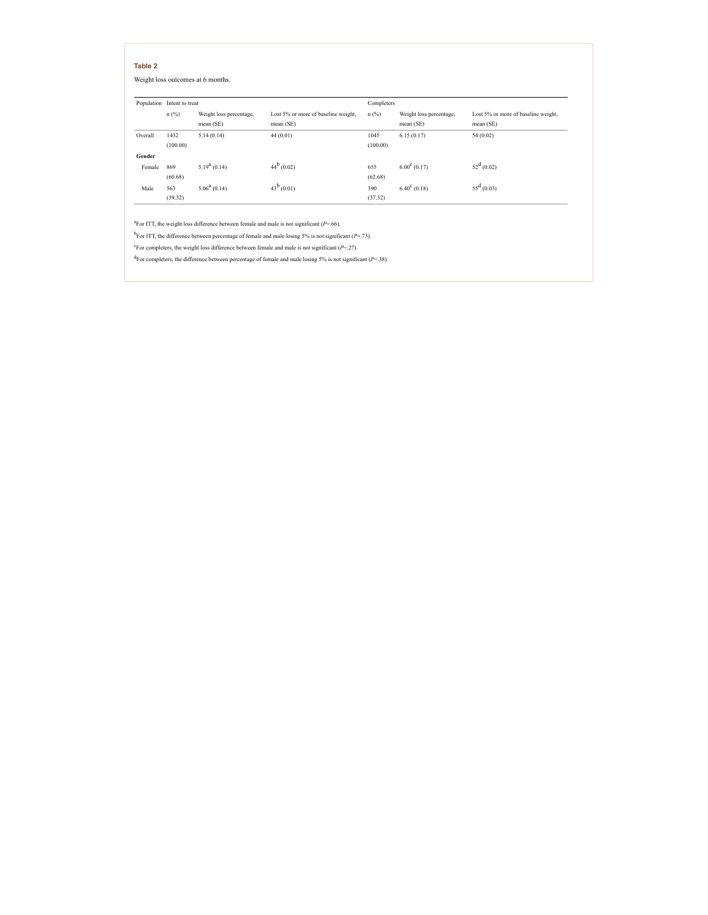Weight loss outcomes at 6 months.

|         | Population Intent to treat |                                      |                                                  | Completers       |                                      |                                                  |
|---------|----------------------------|--------------------------------------|--------------------------------------------------|------------------|--------------------------------------|--------------------------------------------------|
|         | $n$ (%)                    | Weight loss percentage,<br>mean (SE) | Lost 5% or more of baseline weight,<br>mean (SE) | $n$ (%)          | Weight loss percentage,<br>mean (SE) | Lost 5% or more of baseline weight,<br>mean (SE) |
| Overall | 1432<br>(100.00)           | 5.14(0.14)                           | 44(0.01)                                         | 1045<br>(100.00) | 6.15(0.17)                           | 54(0.02)                                         |
| Gender  |                            |                                      |                                                  |                  |                                      |                                                  |
| Female  | 869<br>(60.68)             | $5.19^{\text{a}}(0.14)$              | $44^b(0.02)$                                     | 655<br>(62.68)   | $6.00^{\circ}$ (0.17)                | $52^d$ (0.02)                                    |
| Male    | 563<br>(39.32)             | $5.06^{\text{a}}(0.14)$              | $43^b(0.01)$                                     | 390<br>(37.32)   | $6.40^{\circ}$ (0.18)                | $55^{\rm d}$ (0.03)                              |

<sup>a</sup>For ITT, the weight loss difference between female and male is not significant  $(P=0.66)$ .

<sup>b</sup>For ITT, the difference between percentage of female and male losing 5% is not significant ( $P = .73$ ).

 $c^{\text{c}}$  For completers, the weight loss difference between female and male is not significant ( $P = 27$ ).

 ${}^{d}$ For completers, the difference between percentage of female and male losing 5% is not significant ( $P=38$ ).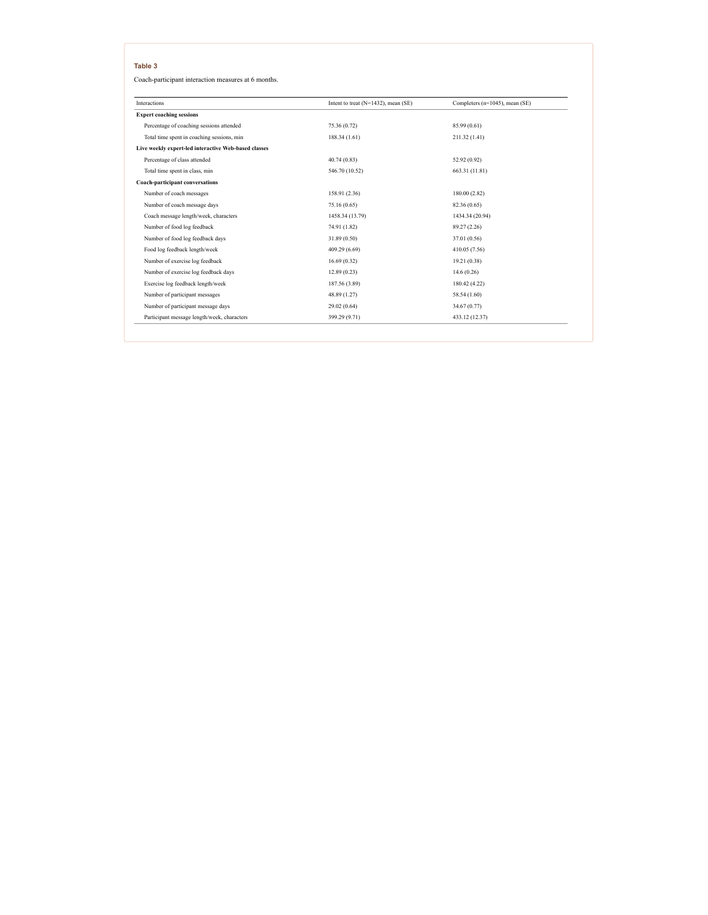Coach-participant interaction measures at 6 months.

| <b>Interactions</b>                                  | Intent to treat (N=1432), mean (SE) | Completers (n=1045), mean (SE) |
|------------------------------------------------------|-------------------------------------|--------------------------------|
| <b>Expert coaching sessions</b>                      |                                     |                                |
| Percentage of coaching sessions attended             | 75.36 (0.72)                        | 85.99 (0.61)                   |
| Total time spent in coaching sessions, min           | 188.34(1.61)                        | 211.32 (1.41)                  |
| Live weekly expert-led interactive Web-based classes |                                     |                                |
| Percentage of class attended                         | 40.74(0.83)                         | 52.92 (0.92)                   |
| Total time spent in class, min                       | 546.70 (10.52)                      | 663.31 (11.81)                 |
| <b>Coach-participant conversations</b>               |                                     |                                |
| Number of coach messages                             | 158.91 (2.36)                       | 180.00 (2.82)                  |
| Number of coach message days                         | 75.16 (0.65)                        | 82.36 (0.65)                   |
| Coach message length/week, characters                | 1458.34 (13.79)                     | 1434.34 (20.94)                |
| Number of food log feedback                          | 74.91 (1.82)                        | 89.27 (2.26)                   |
| Number of food log feedback days                     | 31.89 (0.50)                        | 37.01 (0.56)                   |
| Food log feedback length/week                        | 409.29 (6.69)                       | 410.05 (7.56)                  |
| Number of exercise log feedback                      | 16.69(0.32)                         | 19.21 (0.38)                   |
| Number of exercise log feedback days                 | 12.89(0.23)                         | 14.6(0.26)                     |
| Exercise log feedback length/week                    | 187.56 (3.89)                       | 180.42 (4.22)                  |
| Number of participant messages                       | 48.89 (1.27)                        | 58.54 (1.60)                   |
| Number of participant message days                   | 29.02(0.64)                         | 34.67 (0.77)                   |
| Participant message length/week, characters          | 399.29 (9.71)                       | 433.12 (12.37)                 |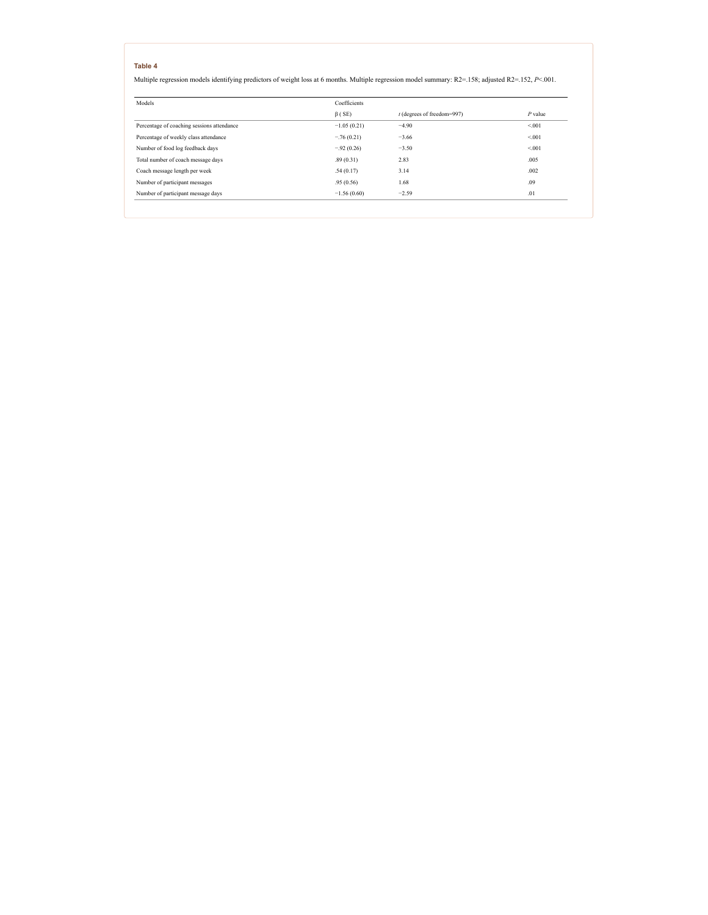Multiple regression models identifying predictors of weight loss at 6 months. Multiple regression model summary: R2=.158; adjusted R2=.152, *P*<.001.

| Models                                     | Coefficients  |                              |           |  |
|--------------------------------------------|---------------|------------------------------|-----------|--|
|                                            | $\beta$ (SE)  | $t$ (degrees of freedom=997) | $P$ value |  |
| Percentage of coaching sessions attendance | $-1.05(0.21)$ | $-4.90$                      | < 001     |  |
| Percentage of weekly class attendance      | $-.76(0.21)$  | $-3.66$                      | < 001     |  |
| Number of food log feedback days           | $-.92(0.26)$  | $-3.50$                      | < 001     |  |
| Total number of coach message days         | .89(0.31)     | 2.83                         | .005      |  |
| Coach message length per week              | .54(0.17)     | 3.14                         | .002      |  |
| Number of participant messages             | .95(0.56)     | 1.68                         | .09       |  |
| Number of participant message days         | $-1.56(0.60)$ | $-2.59$                      | .01       |  |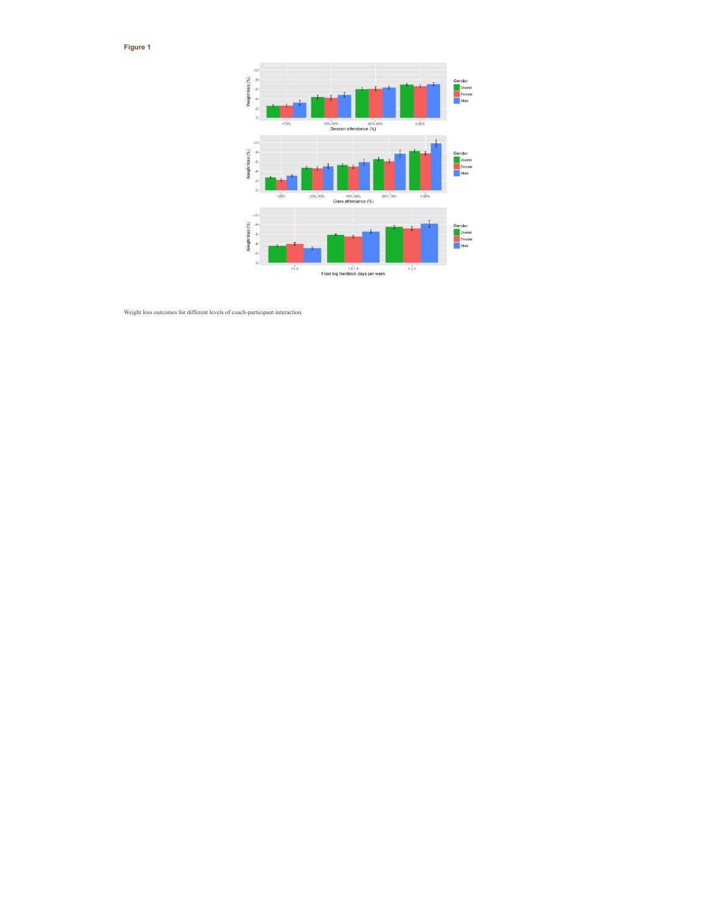**Figure 1**



Weight loss outcomes for different levels of coach-participant interaction.